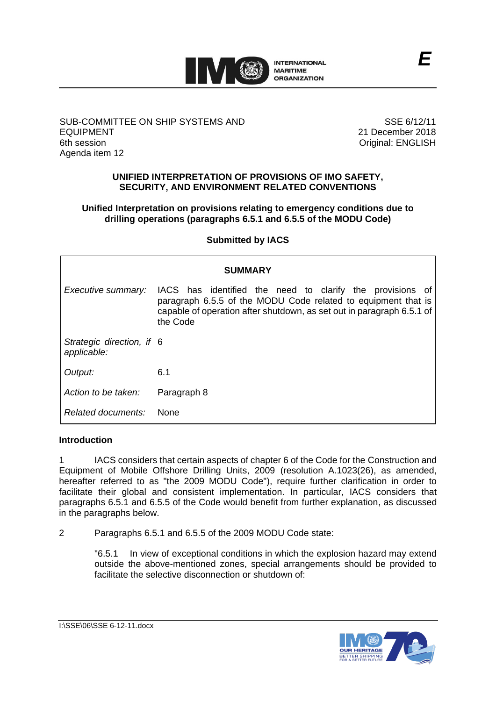

# SUB-COMMITTEE ON SHIP SYSTEMS AND EQUIPMENT 6th session Agenda item 12

SSE 6/12/11 21 December 2018 Original: ENGLISH

# **UNIFIED INTERPRETATION OF PROVISIONS OF IMO SAFETY, SECURITY, AND ENVIRONMENT RELATED CONVENTIONS**

# **Unified Interpretation on provisions relating to emergency conditions due to drilling operations (paragraphs 6.5.1 and 6.5.5 of the MODU Code)**

# **Submitted by IACS**

| <b>SUMMARY</b>                           |                                                                                                                                                                                                                 |
|------------------------------------------|-----------------------------------------------------------------------------------------------------------------------------------------------------------------------------------------------------------------|
| Executive summary:                       | IACS has identified the need to clarify the provisions of<br>paragraph 6.5.5 of the MODU Code related to equipment that is<br>capable of operation after shutdown, as set out in paragraph 6.5.1 of<br>the Code |
| Strategic direction, if 6<br>applicable: |                                                                                                                                                                                                                 |
| Output:                                  | 6.1                                                                                                                                                                                                             |
| Action to be taken:                      | Paragraph 8                                                                                                                                                                                                     |
| Related documents:                       | <b>None</b>                                                                                                                                                                                                     |

### **Introduction**

1 IACS considers that certain aspects of chapter 6 of the Code for the Construction and Equipment of Mobile Offshore Drilling Units, 2009 (resolution A.1023(26), as amended, hereafter referred to as "the 2009 MODU Code"), require further clarification in order to facilitate their global and consistent implementation. In particular, IACS considers that paragraphs 6.5.1 and 6.5.5 of the Code would benefit from further explanation, as discussed in the paragraphs below.

2 Paragraphs 6.5.1 and 6.5.5 of the 2009 MODU Code state:

"6.5.1 In view of exceptional conditions in which the explosion hazard may extend outside the above-mentioned zones, special arrangements should be provided to facilitate the selective disconnection or shutdown of:

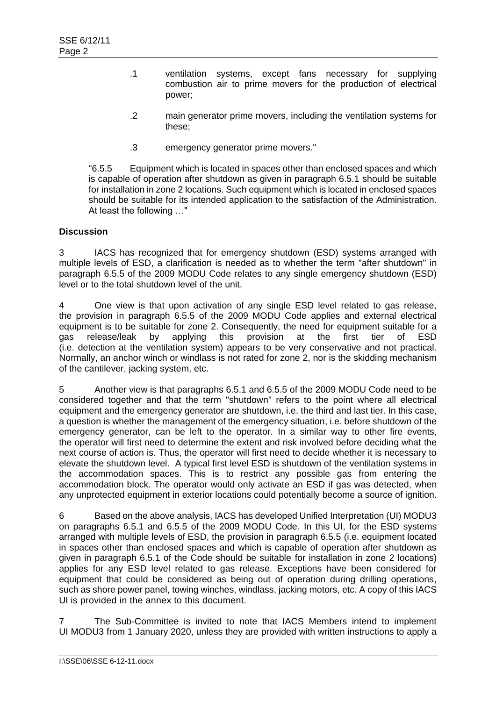- .1 ventilation systems, except fans necessary for supplying combustion air to prime movers for the production of electrical power;
- .2 main generator prime movers, including the ventilation systems for these;
- .3 emergency generator prime movers."

"6.5.5 Equipment which is located in spaces other than enclosed spaces and which is capable of operation after shutdown as given in paragraph 6.5.1 should be suitable for installation in zone 2 locations. Such equipment which is located in enclosed spaces should be suitable for its intended application to the satisfaction of the Administration. At least the following …"

# **Discussion**

3 IACS has recognized that for emergency shutdown (ESD) systems arranged with multiple levels of ESD, a clarification is needed as to whether the term "after shutdown" in paragraph 6.5.5 of the 2009 MODU Code relates to any single emergency shutdown (ESD) level or to the total shutdown level of the unit.

4 One view is that upon activation of any single ESD level related to gas release, the provision in paragraph 6.5.5 of the 2009 MODU Code applies and external electrical equipment is to be suitable for zone 2. Consequently, the need for equipment suitable for a gas release/leak by applying this provision at the first tier of ESD (i.e. detection at the ventilation system) appears to be very conservative and not practical. Normally, an anchor winch or windlass is not rated for zone 2, nor is the skidding mechanism of the cantilever, jacking system, etc.

5 Another view is that paragraphs 6.5.1 and 6.5.5 of the 2009 MODU Code need to be considered together and that the term "shutdown" refers to the point where all electrical equipment and the emergency generator are shutdown, i.e. the third and last tier. In this case, a question is whether the management of the emergency situation, i.e. before shutdown of the emergency generator, can be left to the operator. In a similar way to other fire events, the operator will first need to determine the extent and risk involved before deciding what the next course of action is. Thus, the operator will first need to decide whether it is necessary to elevate the shutdown level. A typical first level ESD is shutdown of the ventilation systems in the accommodation spaces. This is to restrict any possible gas from entering the accommodation block. The operator would only activate an ESD if gas was detected, when any unprotected equipment in exterior locations could potentially become a source of ignition.

6 Based on the above analysis, IACS has developed Unified Interpretation (UI) MODU3 on paragraphs 6.5.1 and 6.5.5 of the 2009 MODU Code. In this UI, for the ESD systems arranged with multiple levels of ESD, the provision in paragraph 6.5.5 (i.e. equipment located in spaces other than enclosed spaces and which is capable of operation after shutdown as given in paragraph 6.5.1 of the Code should be suitable for installation in zone 2 locations) applies for any ESD level related to gas release. Exceptions have been considered for equipment that could be considered as being out of operation during drilling operations, such as shore power panel, towing winches, windlass, jacking motors, etc. A copy of this IACS UI is provided in the annex to this document.

7 The Sub-Committee is invited to note that IACS Members intend to implement UI MODU3 from 1 January 2020, unless they are provided with written instructions to apply a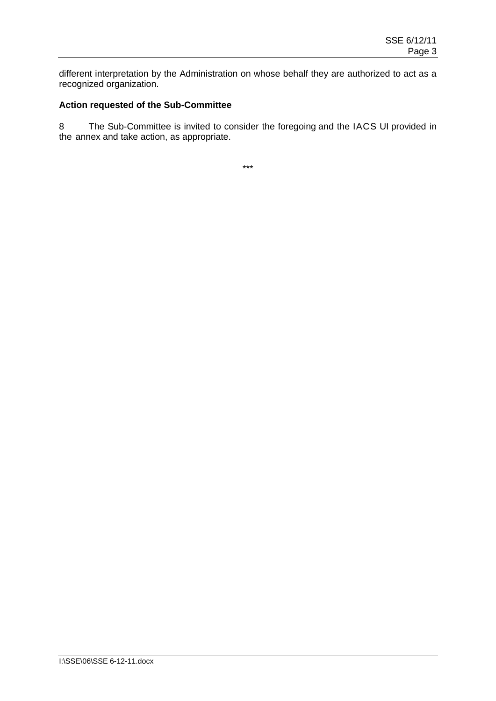different interpretation by the Administration on whose behalf they are authorized to act as a recognized organization.

# **Action requested of the Sub-Committee**

8 The Sub-Committee is invited to consider the foregoing and the IACS UI provided in the annex and take action, as appropriate.

\*\*\*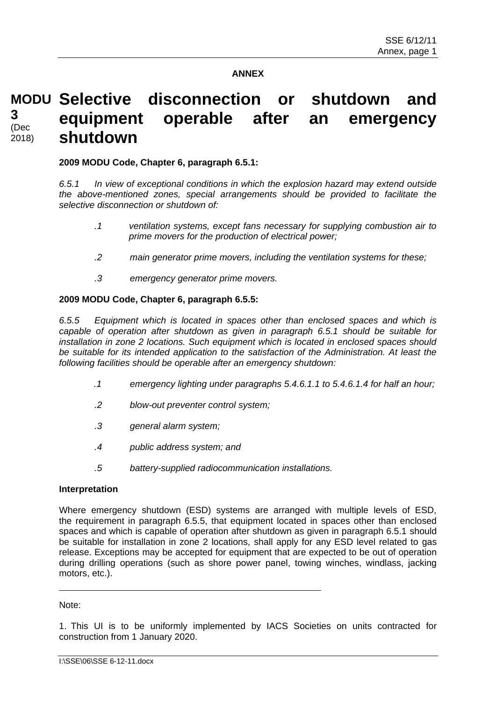# **ANNEX**

#### **MODU Selective disconnection or shutdown and equipment operable after an emergency shutdown 3** (Dec 2018)

### **2009 MODU Code, Chapter 6, paragraph 6.5.1:**

*6.5.1 In view of exceptional conditions in which the explosion hazard may extend outside the above-mentioned zones, special arrangements should be provided to facilitate the selective disconnection or shutdown of:*

- *.1 ventilation systems, except fans necessary for supplying combustion air to prime movers for the production of electrical power;*
- *.2 main generator prime movers, including the ventilation systems for these;*
- *.3 emergency generator prime movers.*

### **2009 MODU Code, Chapter 6, paragraph 6.5.5:**

*6.5.5 Equipment which is located in spaces other than enclosed spaces and which is capable of operation after shutdown as given in paragraph 6.5.1 should be suitable for installation in zone 2 locations. Such equipment which is located in enclosed spaces should be suitable for its intended application to the satisfaction of the Administration. At least the following facilities should be operable after an emergency shutdown:*

- *.1 emergency lighting under paragraphs 5.4.6.1.1 to 5.4.6.1.4 for half an hour;*
- *.2 blow-out preventer control system;*
- *.3 general alarm system;*
- *.4 public address system; and*
- *.5 battery-supplied radiocommunication installations.*

### **Interpretation**

Where emergency shutdown (ESD) systems are arranged with multiple levels of ESD, the requirement in paragraph 6.5.5, that equipment located in spaces other than enclosed spaces and which is capable of operation after shutdown as given in paragraph 6.5.1 should be suitable for installation in zone 2 locations, shall apply for any ESD level related to gas release. Exceptions may be accepted for equipment that are expected to be out of operation during drilling operations (such as shore power panel, towing winches, windlass, jacking motors, etc.).

Note:

1. This UI is to be uniformly implemented by IACS Societies on units contracted for construction from 1 January 2020.